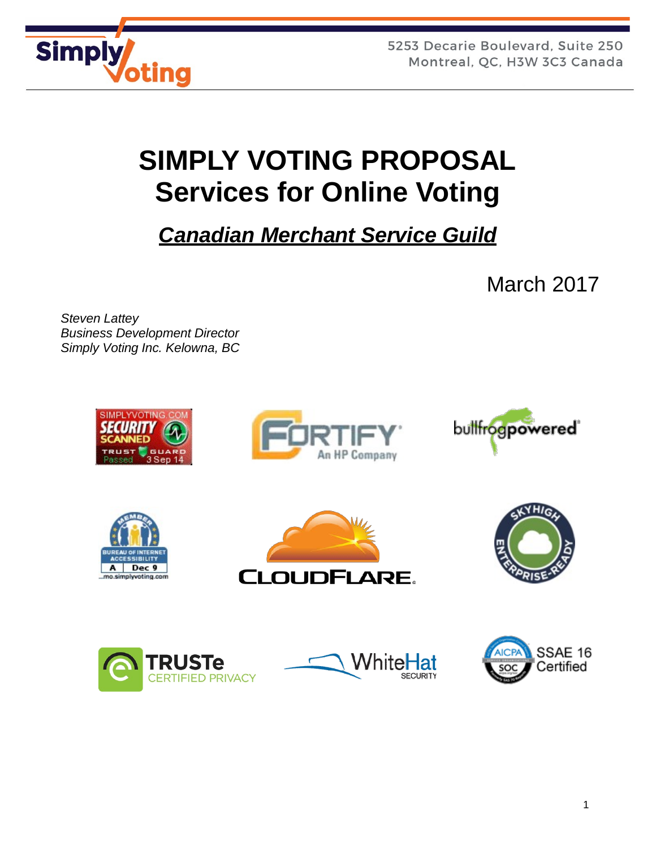



# **SIMPLY VOTING PROPOSAL Services for Online Voting**

*Canadian Merchant Service Guild*

March 2017

*Steven Lattey Business Development Director Simply Voting Inc. Kelowna, BC*

















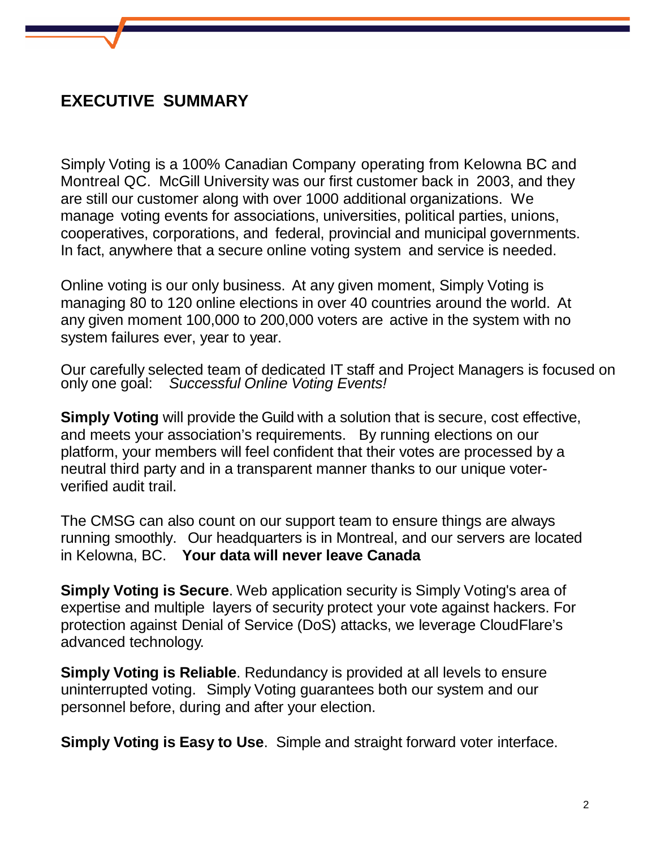# **EXECUTIVE SUMMARY**

Simply Voting is a 100% Canadian Company operating from Kelowna BC and Montreal QC. McGill University was our first customer back in 2003, and they are still our customer along with over 1000 additional organizations. We manage voting events for associations, universities, political parties, unions, cooperatives, corporations, and federal, provincial and municipal governments. In fact, anywhere that a secure online voting system and service is needed.

Online voting is our only business. At any given moment, Simply Voting is managing 80 to 120 online elections in over 40 countries around the world. At any given moment 100,000 to 200,000 voters are active in the system with no system failures ever, year to year.

Our carefully selected team of dedicated IT staff and Project Managers is focused on only one goal: Successful Online Voting Events! **Successful Online Voting Events!** 

**Simply Voting** will provide the Guild with a solution that is secure, cost effective, and meets your association's requirements. By running elections on our platform, your members will feel confident that their votes are processed by a neutral third party and in a transparent manner thanks to our unique voterverified audit trail.

The CMSG can also count on our support team to ensure things are always running smoothly. Our headquarters is in Montreal, and our servers are located in Kelowna, BC. **Your data will never leave Canada**

**Simply Voting is Secure**. Web application security is Simply Voting's area of expertise and multiple layers of security protect your vote against hackers. For protection against Denial of Service (DoS) attacks, we leverage CloudFlare's advanced technology.

**Simply Voting is Reliable**. Redundancy is provided at all levels to ensure uninterrupted voting. Simply Voting guarantees both our system and our personnel before, during and after your election.

**Simply Voting is Easy to Use**. Simple and straight forward voter interface.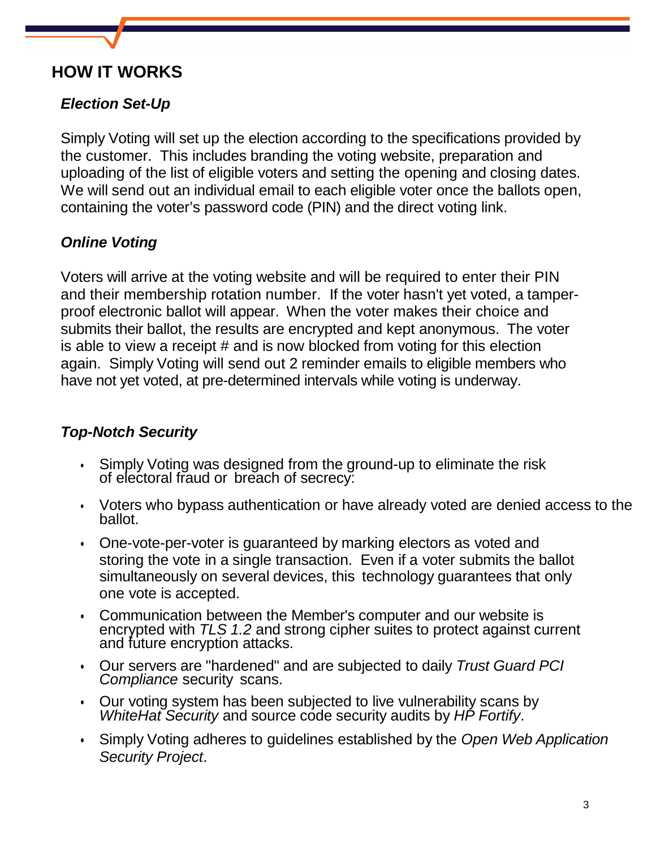# **HOW IT WORKS**

# *Election Set-Up*

Simply Voting will set up the election according to the specifications provided by the customer. This includes branding the voting website, preparation and uploading of the list of eligible voters and setting the opening and closing dates. We will send out an individual email to each eligible voter once the ballots open, containing the voter's password code (PIN) and the direct voting link.

# *Online Voting*

Voters will arrive at the voting website and will be required to enter their PIN and their membership rotation number. If the voter hasn't yet voted, a tamperproof electronic ballot will appear. When the voter makes their choice and submits their ballot, the results are encrypted and kept anonymous. The voter is able to view a receipt # and is now blocked from voting for this election again. Simply Voting will send out 2 reminder emails to eligible members who have not yet voted, at pre-determined intervals while voting is underway.

# *Top-Notch Security*

- Simply Voting was designed from the ground-up to eliminate the risk of electoral fraud or breach of secrecy:
- Voters who bypass authentication or have already voted are denied access to the ballot.
- One-vote-per-voter is guaranteed by marking electors as voted and storing the vote in a single transaction. Even if a voter submits the ballot simultaneously on several devices, this technology guarantees that only one vote is accepted.
- Communication between the Member's computer and our website is encrypted with *TLS 1.2* and strong cipher suites to protect against current and future encryption attacks.
- Our servers are "hardened" and are subjected to daily *Trust Guard PCI Compliance* security scans.
- Our voting system has been subjected to live vulnerability scans by *WhiteHat Security* and source code security audits by *HP Fortify*.
- Simply Voting adheres to guidelines established by the *Open Web Application Security Project*.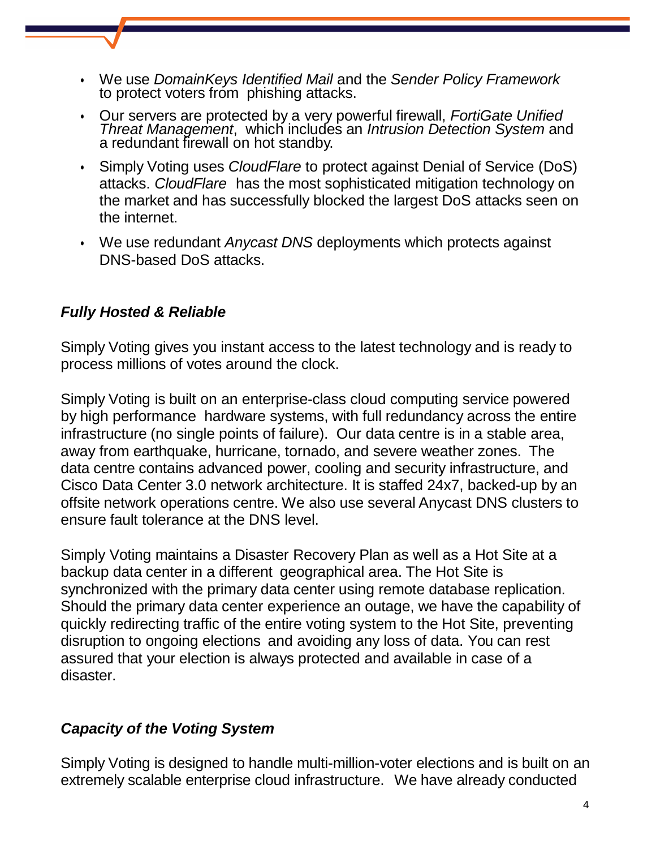- We use *DomainKeys Identified Mail* and the *Sender Policy Framework* to protect voters from phishing attacks.
- Our servers are protected by a very powerful firewall, *FortiGate Unified Threat Management*, which includes an *Intrusion Detection System* and a redundant firewall on hot standby.
- Simply Voting uses *CloudFlare* to protect against Denial of Service (DoS) attacks. *CloudFlare* has the most sophisticated mitigation technology on the market and has successfully blocked the largest DoS attacks seen on the internet.
- We use redundant *Anycast DNS* deployments which protects against DNS-based DoS attacks.

# *Fully Hosted & Reliable*

Simply Voting gives you instant access to the latest technology and is ready to process millions of votes around the clock.

Simply Voting is built on an enterprise-class cloud computing service powered by high performance hardware systems, with full redundancy across the entire infrastructure (no single points of failure). Our data centre is in a stable area, away from earthquake, hurricane, tornado, and severe weather zones. The data centre contains advanced power, cooling and security infrastructure, and Cisco Data Center 3.0 network architecture. It is staffed 24x7, backed-up by an offsite network operations centre. We also use several Anycast DNS clusters to ensure fault tolerance at the DNS level.

Simply Voting maintains a Disaster Recovery Plan as well as a Hot Site at a backup data center in a different geographical area. The Hot Site is synchronized with the primary data center using remote database replication. Should the primary data center experience an outage, we have the capability of quickly redirecting traffic of the entire voting system to the Hot Site, preventing disruption to ongoing elections and avoiding any loss of data. You can rest assured that your election is always protected and available in case of a disaster.

# *Capacity of the Voting System*

Simply Voting is designed to handle multi-million-voter elections and is built on an extremely scalable enterprise cloud infrastructure. We have already conducted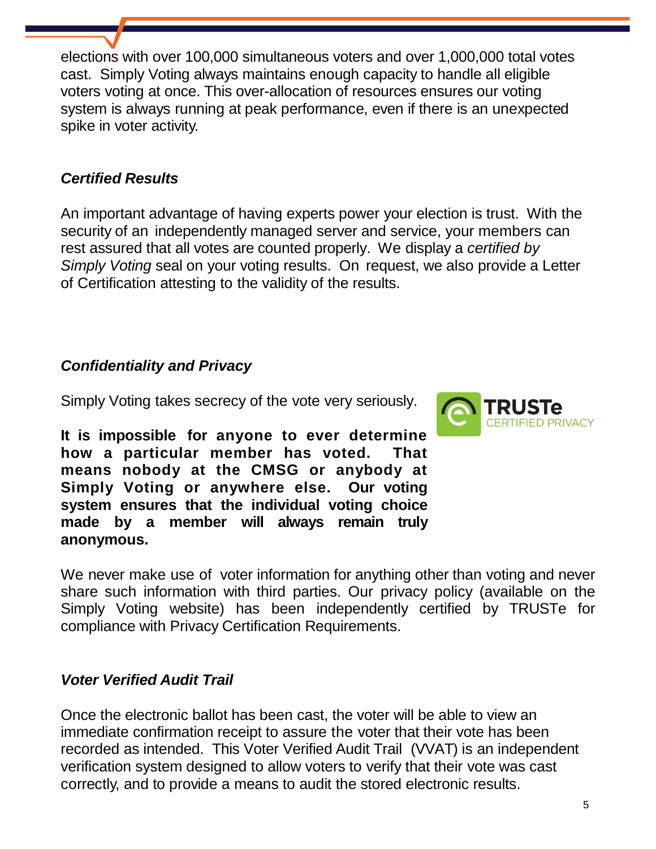elections with over 100,000 simultaneous voters and over 1,000,000 total votes cast. Simply Voting always maintains enough capacity to handle all eligible voters voting at once. This over-allocation of resources ensures our voting system is always running at peak performance, even if there is an unexpected spike in voter activity.

# *Certified Results*

An important advantage of having experts power your election is trust. With the security of an independently managed server and service, your members can rest assured that all votes are counted properly. We display a *certified by Simply Voting* seal on your voting results. On request, we also provide a Letter of Certification attesting to the validity of the results.

# *Confidentiality and Privacy*

Simply Voting takes secrecy of the vote very seriously.

**It is impossible for anyone to ever determine how a particular member has voted. That means nobody at the CMSG or anybody at Simply Voting or anywhere else. Our voting system ensures that the individual voting choice made by a member will always remain truly anonymous.**



We never make use of voter information for anything other than voting and never share such information with third parties. Our privacy policy (available on the Simply Voting website) has been independently certified by TRUSTe for compliance with Privacy Certification Requirements.

### *Voter Verified Audit Trail*

Once the electronic ballot has been cast, the voter will be able to view an immediate confirmation receipt to assure the voter that their vote has been recorded as intended. This Voter Verified Audit Trail (VVAT) is an independent verification system designed to allow voters to verify that their vote was cast correctly, and to provide a means to audit the stored electronic results.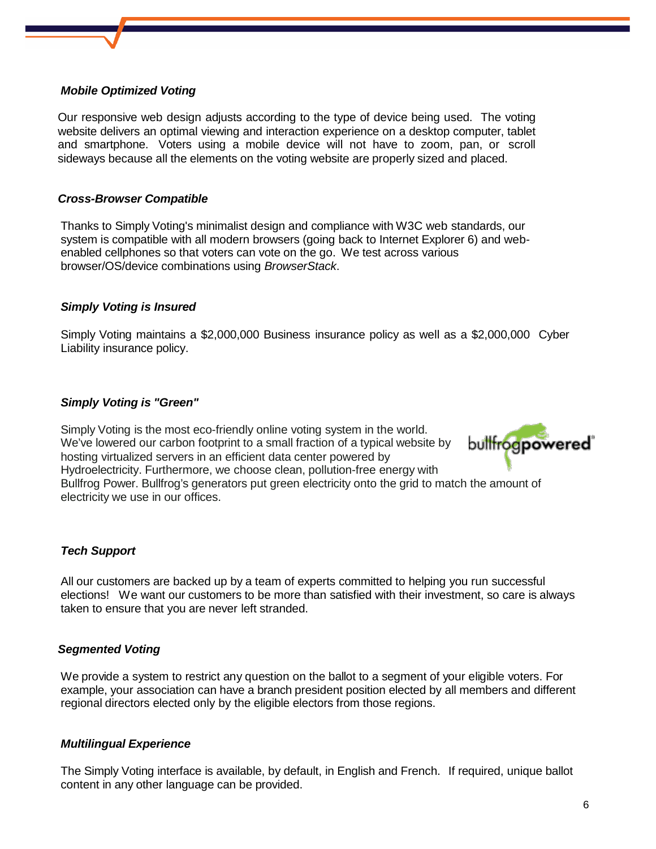#### *Mobile Optimized Voting*

Our responsive web design adjusts according to the type of device being used. The voting website delivers an optimal viewing and interaction experience on a desktop computer, tablet and smartphone. Voters using a mobile device will not have to zoom, pan, or scroll sideways because all the elements on the voting website are properly sized and placed.

#### *Cross-Browser Compatible*

Thanks to Simply Voting's minimalist design and compliance with W3C web standards, our system is compatible with all modern browsers (going back to Internet Explorer 6) and webenabled cellphones so that voters can vote on the go. We test across various browser/OS/device combinations using *BrowserStack*.

#### *Simply Voting is Insured*

Simply Voting maintains a \$2,000,000 Business insurance policy as well as a \$2,000,000 Cyber Liability insurance policy.

#### *Simply Voting is "Green"*

Simply Voting is the most eco-friendly online voting system in the world. We've lowered our carbon footprint to a small fraction of a typical website by hosting virtualized servers in an efficient data center powered by Hydroelectricity. Furthermore, we choose clean, pollution-free energy with Bullfrog Power. Bullfrog's generators put green electricity onto the grid to match the amount of



electricity we use in our offices.

#### *Tech Support*

All our customers are backed up by a team of experts committed to helping you run successful elections! We want our customers to be more than satisfied with their investment, so care is always taken to ensure that you are never left stranded.

#### *Segmented Voting*

We provide a system to restrict any question on the ballot to a segment of your eligible voters. For example, your association can have a branch president position elected by all members and different regional directors elected only by the eligible electors from those regions.

#### *Multilingual Experience*

The Simply Voting interface is available, by default, in English and French. If required, unique ballot content in any other language can be provided.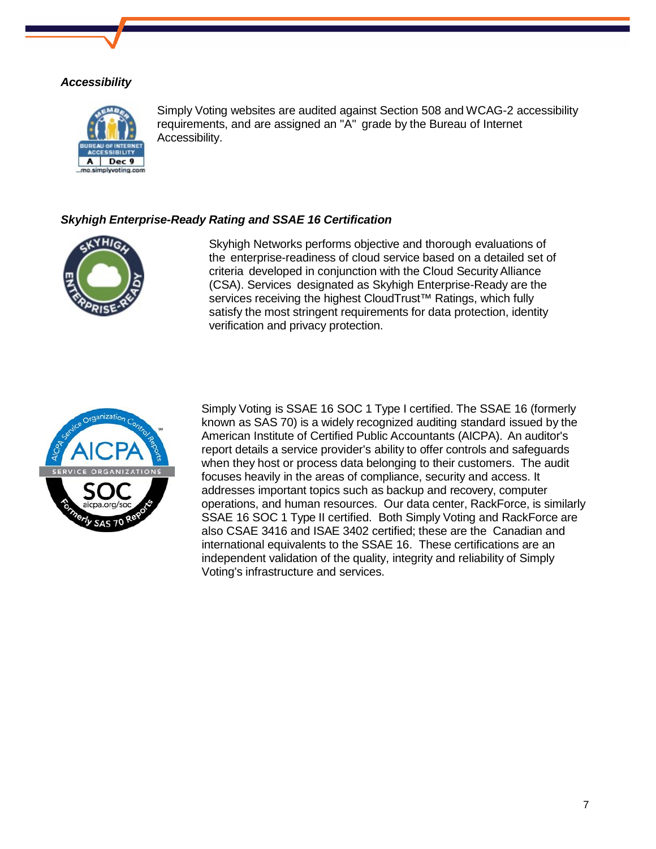#### *Accessibility*



Simply Voting websites are audited against Section 508 and WCAG-2 accessibility requirements, and are assigned an "A" grade by the Bureau of Internet Accessibility.

#### *Skyhigh Enterprise-Ready Rating and SSAE 16 Certification*



Skyhigh Networks performs objective and thorough evaluations of the enterprise-readiness of cloud service based on a detailed set of criteria developed in conjunction with the Cloud SecurityAlliance (CSA). Services designated as Skyhigh Enterprise-Ready are the services receiving the highest CloudTrust<sup>™</sup> Ratings, which fully satisfy the most stringent requirements for data protection, identity verification and privacy protection.



Simply Voting is SSAE 16 SOC 1 Type I certified. The SSAE 16 (formerly known as SAS 70) is a widely recognized auditing standard issued by the American Institute of Certified Public Accountants (AICPA). An auditor's report details a service provider's ability to offer controls and safeguards when they host or process data belonging to their customers. The audit focuses heavily in the areas of compliance, security and access. It addresses important topics such as backup and recovery, computer operations, and human resources. Our data center, RackForce, is similarly SSAE 16 SOC 1 Type II certified. Both Simply Voting and RackForce are also CSAE 3416 and ISAE 3402 certified; these are the Canadian and international equivalents to the SSAE 16. These certifications are an independent validation of the quality, integrity and reliability of Simply Voting's infrastructure and services.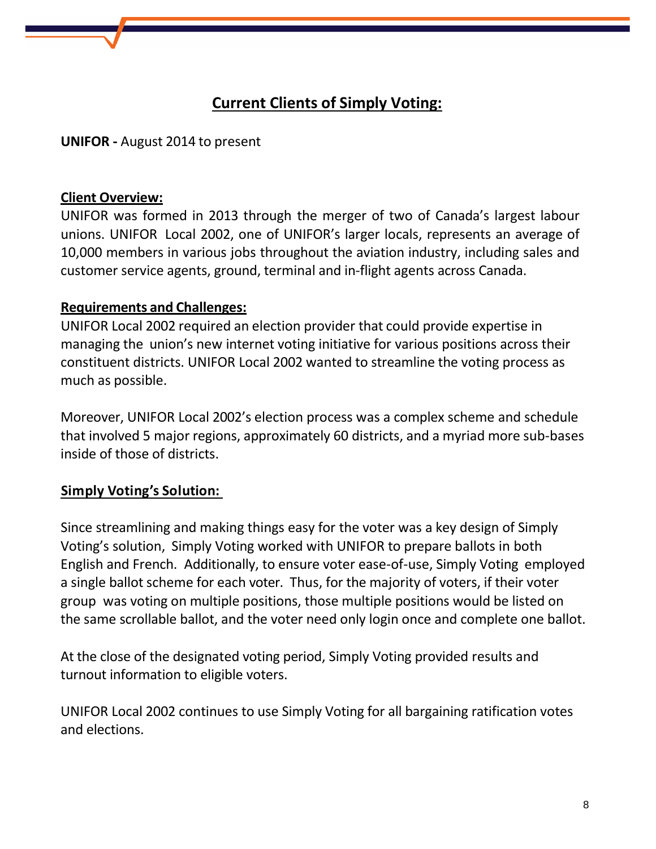# **Current Clients of Simply Voting:**

**UNIFOR -** August 2014 to present

### **Client Overview:**

UNIFOR was formed in 2013 through the merger of two of Canada's largest labour unions. UNIFOR Local 2002, one of UNIFOR's larger locals, represents an average of 10,000 members in various jobs throughout the aviation industry, including sales and customer service agents, ground, terminal and in-flight agents across Canada.

### **Requirements and Challenges:**

UNIFOR Local 2002 required an election provider that could provide expertise in managing the union's new internet voting initiative for various positions across their constituent districts. UNIFOR Local 2002 wanted to streamline the voting process as much as possible.

Moreover, UNIFOR Local 2002's election process was a complex scheme and schedule that involved 5 major regions, approximately 60 districts, and a myriad more sub-bases inside of those of districts.

### **Simply Voting's Solution:**

Since streamlining and making things easy for the voter was a key design of Simply Voting's solution, Simply Voting worked with UNIFOR to prepare ballots in both English and French. Additionally, to ensure voter ease-of-use, Simply Voting employed a single ballot scheme for each voter. Thus, for the majority of voters, if their voter group was voting on multiple positions, those multiple positions would be listed on the same scrollable ballot, and the voter need only login once and complete one ballot.

At the close of the designated voting period, Simply Voting provided results and turnout information to eligible voters.

UNIFOR Local 2002 continues to use Simply Voting for all bargaining ratification votes and elections.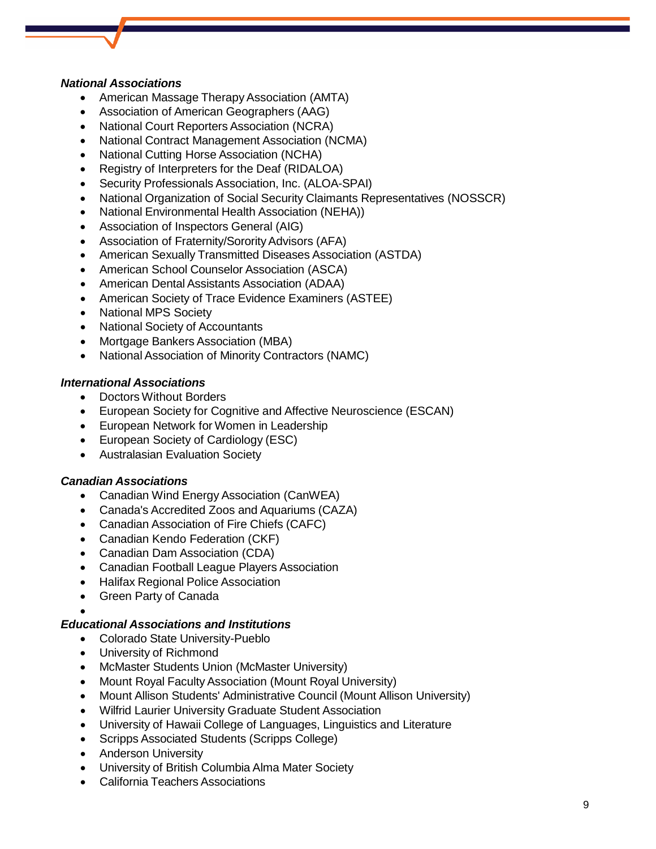#### *National Associations*

- American Massage Therapy Association (AMTA)
- Association of American Geographers (AAG)
- National Court Reporters Association (NCRA)
- National Contract Management Association (NCMA)
- National Cutting Horse Association (NCHA)
- Registry of Interpreters for the Deaf (RIDALOA)
- Security Professionals Association, Inc. (ALOA-SPAI)
- National Organization of Social Security Claimants Representatives (NOSSCR)
- National Environmental Health Association (NEHA))
- Association of Inspectors General (AIG)
- Association of Fraternity/Sorority Advisors (AFA)
- American Sexually Transmitted Diseases Association (ASTDA)
- American School Counselor Association (ASCA)
- American Dental Assistants Association (ADAA)
- American Society of Trace Evidence Examiners (ASTEE)
- National MPS Society
- National Society of Accountants
- Mortgage Bankers Association (MBA)
- National Association of Minority Contractors (NAMC)

#### *International Associations*

- Doctors Without Borders
- European Society for Cognitive and Affective Neuroscience (ESCAN)
- European Network for Women in Leadership
- European Society of Cardiology (ESC)
- Australasian Evaluation Society

#### *Canadian Associations*

- Canadian Wind Energy Association (CanWEA)
- Canada's Accredited Zoos and Aquariums (CAZA)
- Canadian Association of Fire Chiefs (CAFC)
- Canadian Kendo Federation (CKF)
- Canadian Dam Association (CDA)
- Canadian Football League Players Association
- Halifax Regional Police Association
- Green Party of Canada
- •

#### *Educational Associations and Institutions*

- Colorado State University-Pueblo
- University of Richmond
- McMaster Students Union (McMaster University)
- Mount Royal Faculty Association (Mount Royal University)
- Mount Allison Students' Administrative Council (Mount Allison University)
- Wilfrid Laurier University Graduate Student Association
- University of Hawaii College of Languages, Linguistics and Literature
- Scripps Associated Students (Scripps College)
- Anderson University
- University of British Columbia Alma Mater Society
- California Teachers Associations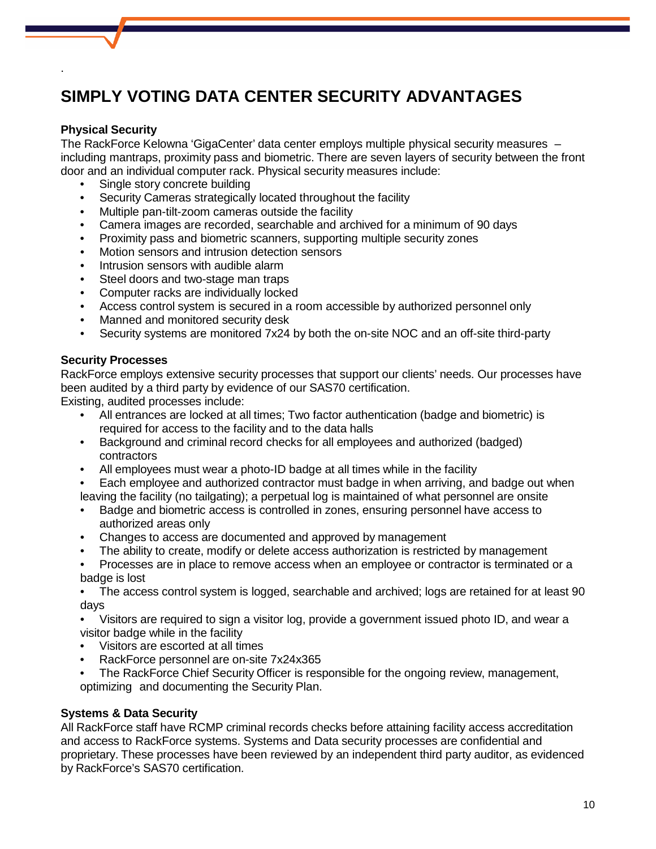# **SIMPLY VOTING DATA CENTER SECURITY ADVANTAGES**

#### **Physical Security**

.

The RackForce Kelowna 'GigaCenter' data center employs multiple physical security measures – including mantraps, proximity pass and biometric. There are seven layers of security between the front door and an individual computer rack. Physical security measures include:

- Single story concrete building
- Security Cameras strategically located throughout the facility
- Multiple pan-tilt-zoom cameras outside the facility
- Camera images are recorded, searchable and archived for a minimum of 90 days
- Proximity pass and biometric scanners, supporting multiple security zones
- Motion sensors and intrusion detection sensors
- Intrusion sensors with audible alarm
- Steel doors and two-stage man traps
- Computer racks are individually locked
- Access control system is secured in a room accessible by authorized personnel only
- Manned and monitored security desk
- Security systems are monitored 7x24 by both the on-site NOC and an off-site third-party

#### **Security Processes**

RackForce employs extensive security processes that support our clients' needs. Our processes have been audited by a third party by evidence of our SAS70 certification.

Existing, audited processes include:

- All entrances are locked at all times; Two factor authentication (badge and biometric) is required for access to the facility and to the data halls
- Background and criminal record checks for all employees and authorized (badged) contractors
- All employees must wear a photo-ID badge at all times while in the facility
- Each employee and authorized contractor must badge in when arriving, and badge out when leaving the facility (no tailgating); a perpetual log is maintained of what personnel are onsite
- Badge and biometric access is controlled in zones, ensuring personnel have access to authorized areas only
- Changes to access are documented and approved by management
- The ability to create, modify or delete access authorization is restricted by management
- Processes are in place to remove access when an employee or contractor is terminated or a badge is lost

• The access control system is logged, searchable and archived; logs are retained for at least 90 days

• Visitors are required to sign a visitor log, provide a government issued photo ID, and wear a visitor badge while in the facility

- Visitors are escorted at all times
- RackForce personnel are on-site 7x24x365
- The RackForce Chief Security Officer is responsible for the ongoing review, management, optimizing and documenting the Security Plan.

#### **Systems & Data Security**

All RackForce staff have RCMP criminal records checks before attaining facility access accreditation and access to RackForce systems. Systems and Data security processes are confidential and proprietary. These processes have been reviewed by an independent third party auditor, as evidenced by RackForce's SAS70 certification.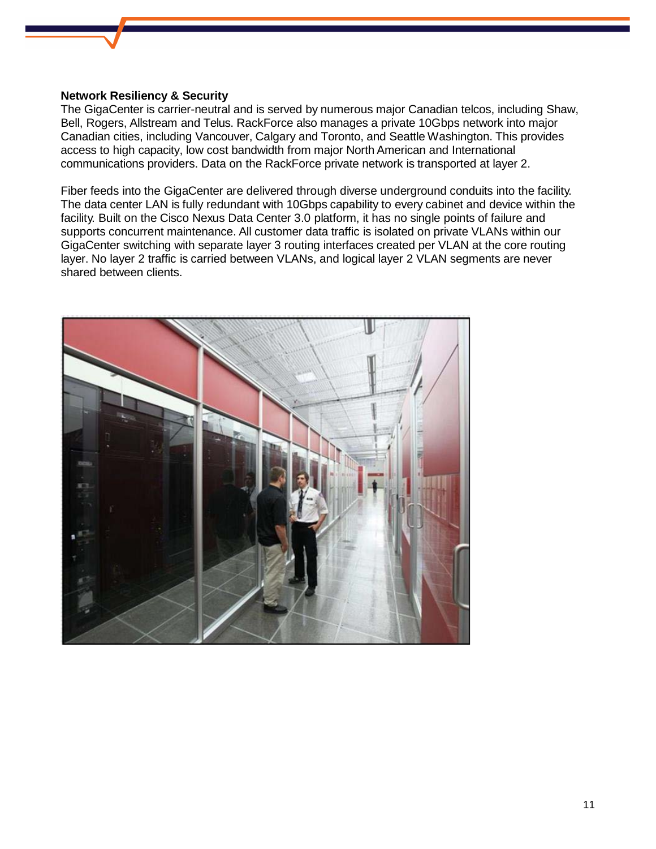#### **Network Resiliency & Security**

The GigaCenter is carrier-neutral and is served by numerous major Canadian telcos, including Shaw, Bell, Rogers, Allstream and Telus. RackForce also manages a private 10Gbps network into major Canadian cities, including Vancouver, Calgary and Toronto, and Seattle Washington. This provides access to high capacity, low cost bandwidth from major North American and International communications providers. Data on the RackForce private network is transported at layer 2.

Fiber feeds into the GigaCenter are delivered through diverse underground conduits into the facility. The data center LAN is fully redundant with 10Gbps capability to every cabinet and device within the facility. Built on the Cisco Nexus Data Center 3.0 platform, it has no single points of failure and supports concurrent maintenance. All customer data traffic is isolated on private VLANs within our GigaCenter switching with separate layer 3 routing interfaces created per VLAN at the core routing layer. No layer 2 traffic is carried between VLANs, and logical layer 2 VLAN segments are never shared between clients.